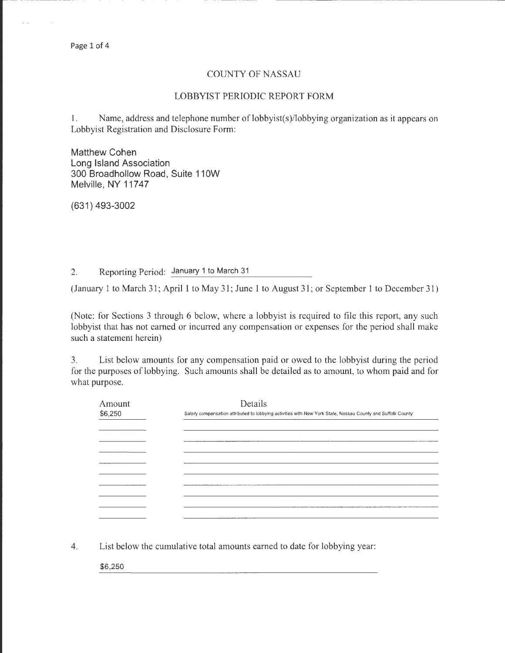Page 1 of 4

## COUNTY OF NASSAU

--- --- - --- ----- --------------- -------------------------- -

## LOBBYIST PERIODIC REPORT FORM

1. Name, address and telephone number of lobbyist(s)/lobbying organization as it appears on Lobbyist Registration and Disclosure Form:

Matthew Cohen Long Island Association 300 Broadhollow Road, Suite 110W Melville, NY 11747

(631) 493-3002

2. Reporting Period: January 1 to March 31

(January 1 to March 31; April 1 to May 31; June 1 to August 31; or September 1 to December 31)

(Note: for Sections 3 through 6 below, where a lobbyist is required to file this report, any such lobbyist that has not earned or incurred any compensation or expenses for the period shall make such a statement herein)

3. List below amounts for any compensation paid or owed to the lobbyist during the period for the purposes of lobbying. Such amounts shall be detailed as to amount, to whom paid and for what purpose.

| Amount<br>\$6,250 | Details<br>Salary compensation attributed to lobbying activities with New York State, Nassau County and Suffolk County |  |  |  |
|-------------------|------------------------------------------------------------------------------------------------------------------------|--|--|--|
|                   | __________                                                                                                             |  |  |  |
|                   |                                                                                                                        |  |  |  |
|                   |                                                                                                                        |  |  |  |
|                   |                                                                                                                        |  |  |  |
|                   |                                                                                                                        |  |  |  |

4. List below the cumulative total amounts earned to date for lobbying year:

\$6,250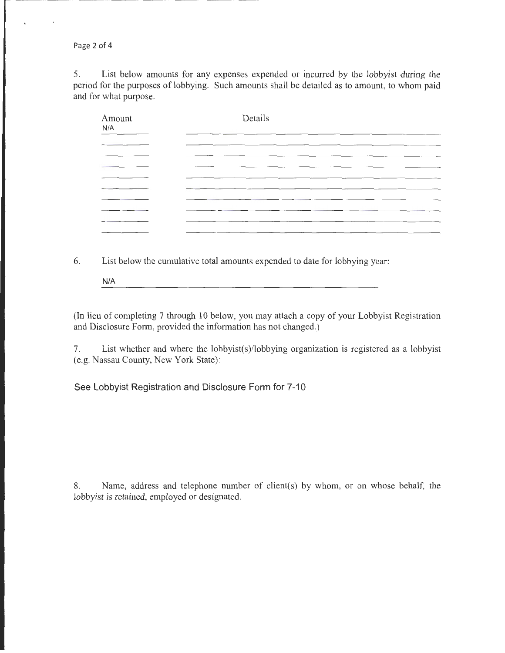Page 2 of 4

5. List below amounts for any expenses expended or incurred by the lobbyist during the period for the purposes of lobbying. Such amounts shall be detailed as to amount, to whom paid and for what purpose.

| Amount<br>N/A | Details |  |  |
|---------------|---------|--|--|
|               |         |  |  |
|               |         |  |  |
|               |         |  |  |
|               |         |  |  |
|               |         |  |  |
|               |         |  |  |

6. List below the cumulative total amounts expended to date for lobbying year:

N/A

(In lieu of completing 7 through 10 below, you may attach a copy of your Lobbyist Registration and Disclosure Form, provided the information has not changed.)

7. List whether and where the lobbyist(s)/lobbying organization is registered as a lobbyist (e.g. Nassau County, New York State):

**See Lobbyist Registration and Disclosure Form for 7-10** 

8. Name, address and telephone number of client(s) by whom, or on whose behalf, the lobbyist is retained, employed or designated.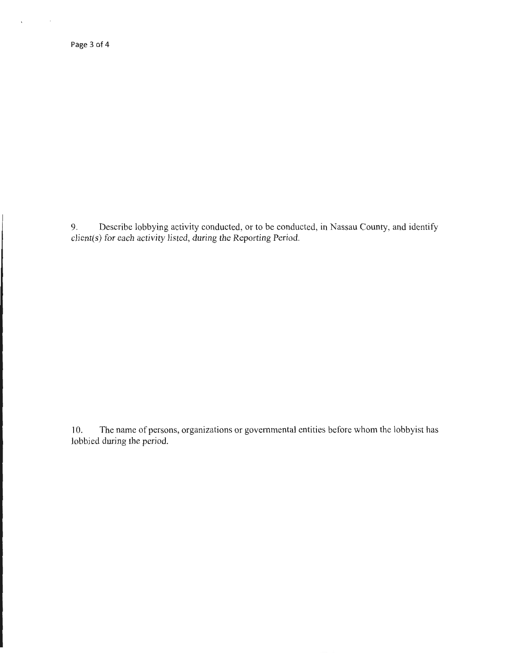$\sim$ 

 $\ddot{\phantom{a}}$ 

9. Describe lobbying activity conducted, or to be conducted, in Nassau County, and identify client(s) for each activity listed, during the Reporting Period.

10. The name of persons, organizations or governmental entities before whom the lobbyist has lobbied during the period.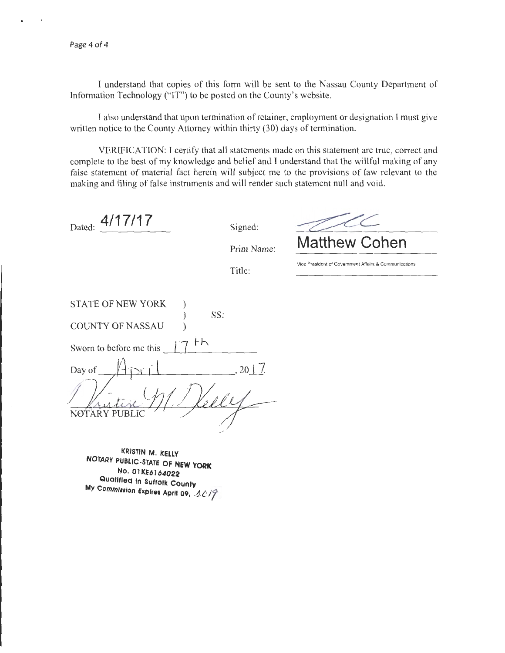I understand that copies of this form will be sent to the Nassau County Department of Information Technology ("IT") to be posted on the County's website.

I also understand that upon termination of retainer, employment or designation I must give written notice to the County Attorney within thirty (30) days of termination.

VERIFICATION: I certify that all statements made on this statement are true, correct and complete to the best of my knowledge and belief and I understand that the willful making of any false statement of material fact herein will subject me to the provisions of law relevant to the making and filing of false instruments and will render such statement null and void.

Dated: **4/17/17** Signed:

Print Name:

**Matthew Cohen** 

Title:

**Vice President of Government Affairs & Communications** 

| <b>STATE OF NEW YORK</b> |    |              |
|--------------------------|----|--------------|
|                          |    | SS:          |
| <b>COUNTY OF NASSAU</b>  |    |              |
|                          |    |              |
| Sworn to before me this  | th |              |
|                          |    |              |
| Day of                   |    | $, 20$   $/$ |
|                          |    |              |
|                          |    |              |
|                          |    |              |
| ARY PUB                  |    |              |
|                          |    |              |

**KRISTIN M. KELLY NOTARY PUBLIC-STATE OF NEW YORK No. 01 K£6164022 Qualified In Suffolk County My Commission Expires April 09, 2019**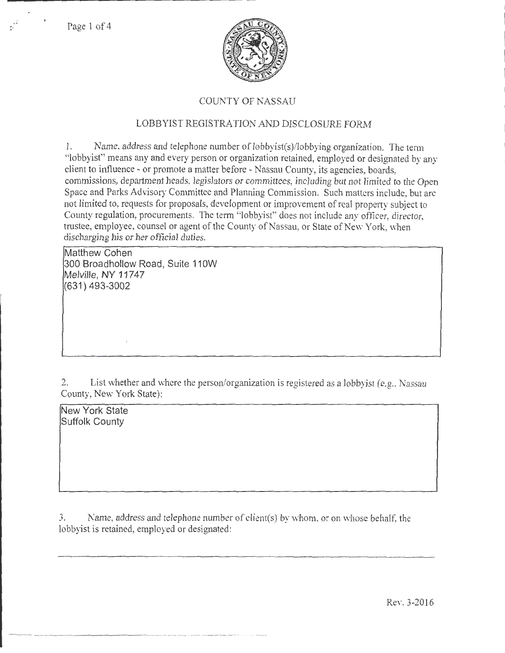Page 1 of 4



## COUNTY OF NASSAU

# LOBBYIST REGISTRATION AND DISCLOSURE FORM

1. Name, address and telephone number of lobbyist(s)/lobbying organization. The term "lobbyist" means any and every person or organization retained, employed or designated by any client to influence - or promote a matter before - Nassau County, its agencies, boards, commissions, department heads, legislators or committees, including but not limited to the Open Space and Parks Advisory Committee and Planning Commission. Such matters include, but arc not limited to, requests for proposals, development or improvement of real property subject to County regulation, procurements. The term "lobbyist" does not include any officer, director, trustee, employee, counsel or agent of the County of Nassau, or State of New York, when discharging his or her official duties.

**Matthew Cohen 300 Broad hollow Road, Suite 11 OW Melville, NY 11747 (631) 493-3002** 

? List whether and where the person/organization is registered as a lobbyist (e.g., Nassau County, New York State):

**New York State Suffolk County** 

3. Kame, address and telephone number of clicnt(s) by whom, or on whose behalf. the lobbyist is retained, employed or designated:

Rev. 3-2016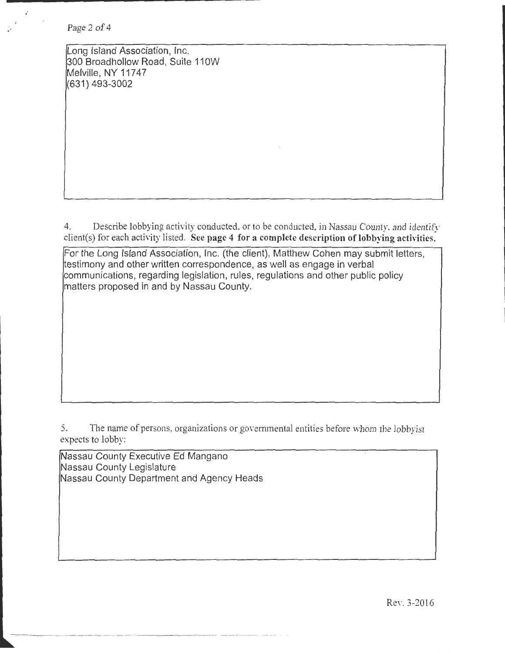Page 2 of 4

Long Island Association, Inc. 300 Broad hollow Road, Suite 11 OW Melville, NY 11747 (631) 493-3002

4. Describe lobbying activity conducted, or to be conducted, in Nassau County. and identify client(s) for each activity listed. See page 4 for a complete description of lobbying activities.

For the Long Island Association, Inc. (the client), Matthew Cohen may submit letters, testimony and other written correspondence, as well as engage in verbal communications, regarding legislation, rules, regulations and other public policy matters proposed in and by Nassau County.

5. The name of persons, organizations or governmental entities before whom the lobbyist expects to lobby:

Nassau County Executive Ed Mangano Nassau County Legislature Nassau County Department and Agency Heads

----------------------------

Rev. 3-2016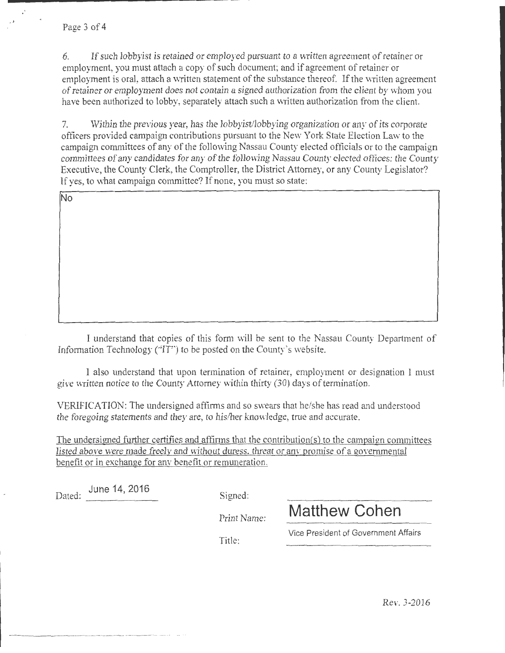6. If such lobby is retained or employed pursuant to a written agreement of retainer or employment, you must attach a copy of such document; and if agreement of retainer or employment is oral, attach a written statement of the substance thereof. If the written agreement of retainer or employment does not contain a signed authorization from the client by whom you have been authorized to lobby, separately attach such a written authorization from the client.

7. Within the previous year, has the lobby is the booking organization or any of its corporate officers provided campaign contributions pursuant to the New York State Election Law to the campaign committees of any of the following Nassau County elected officials or to the campaign committees of any candidates for any of the following Nassau County elected offices: the County Executive, the County Clerk, the Comptroller, the District Attorney, or any County Legislator? If yes, to what campaign committee? If none, you must so state:

**No** 

I understand that copies of this form will be sent to the Nassau County Department of Information Technology ( $T^{\prime}$ ) to be posted on the County's website.

I also tmderstand that upon termination of retainer, employment or designation I must give written notice to the County Attorney within thirty  $(30)$  days of termination.

VERIFICATION: The undersigned affirms and so swears that he/she has read and understood the foregoing statements and they are, to his/her knowledge; true and accurate.

The undersigned further certifies and affirms that the contribution(s) to the campaign committees listed above were made freely and without duress, threat or any promise of a governmental benefit or in exchange for anv benefit or remuneration.

Dated: ated: <u>June 14, 2016</u> Signed:

Print Name:

Vice President of Government Affairs

**Matthew Cohen** 

Title: